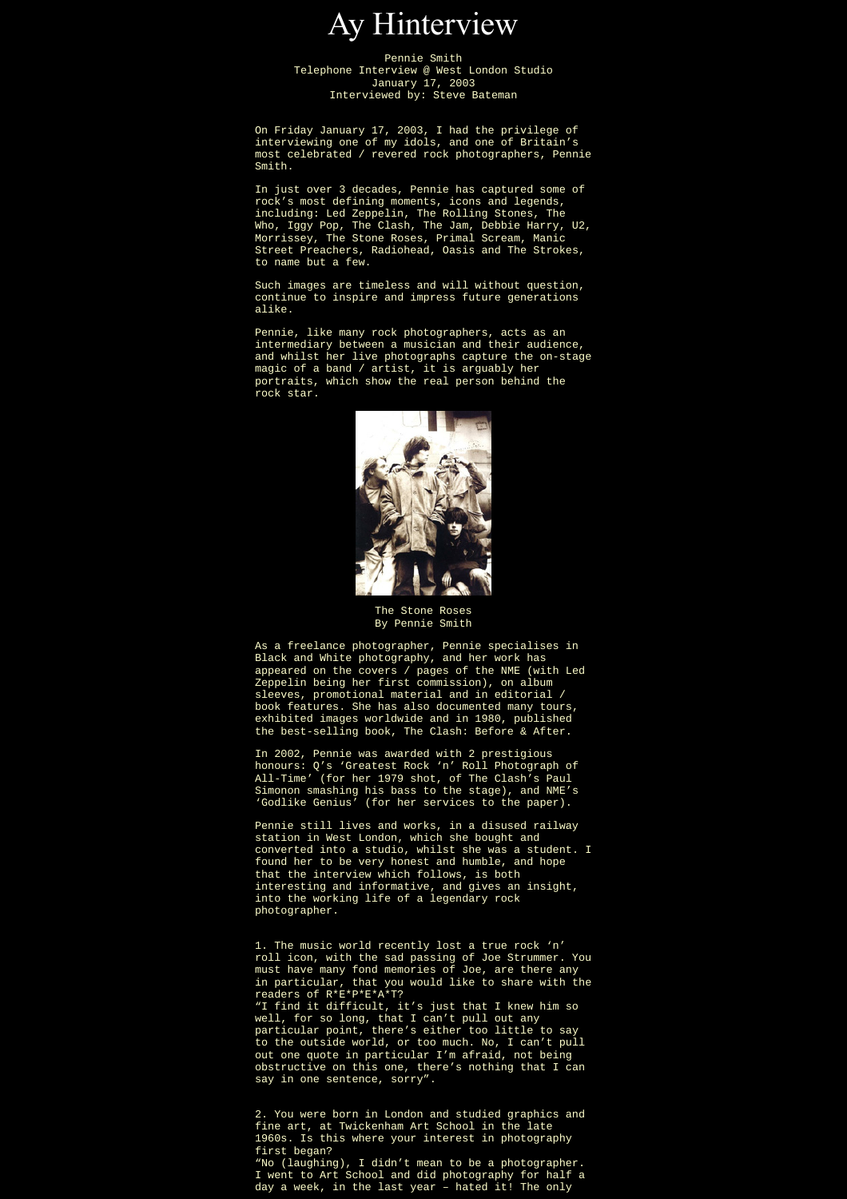

Pennie Smith Telephone Interview @ West London Studio January 17, 2003 Interviewed by: Steve Bateman

On Friday January 17, 2003, I had the privilege of interviewing one of my idols, and one of Britain's most celebrated / revered rock photographers, Pennie Smith.

In just over 3 decades, Pennie has captured some of rock's most defining moments, icons and legends, including: Led Zeppelin, The Rolling Stones, The Who, Iggy Pop, The Clash, The Jam, Debbie Harry, U2, Morrissey, The Stone Roses, Primal Scream, Manic Street Preachers, Radiohead, Oasis and The Strokes, to name but a few.

Such images are timeless and will without question, continue to inspire and impress future generations alike.

Pennie, like many rock photographers, acts as an intermediary between a musician and their audience, and whilst her live photographs capture the on-stage magic of a band / artist, it is arguably her portraits, which show the real person behind the rock star.



The Stone Roses By Pennie Smith

As a freelance photographer, Pennie specialises in Black and White photography, and her work has appeared on the covers / pages of the NME (with Led Zeppelin being her first commission), on album sleeves, promotional material and in editorial / book features. She has also documented many tours, exhibited images worldwide and in 1980, published the best-selling book, The Clash: Before & After.

In 2002, Pennie was awarded with 2 prestigious honours: Q's 'Greatest Rock 'n' Roll Photograph of All-Time' (for her 1979 shot, of The Clash's Paul Simonon smashing his bass to the stage), and NME's 'Godlike Genius' (for her services to the paper).

Pennie still lives and works, in a disused railway station in West London, which she bought and converted into a studio, whilst she was a student. I found her to be very honest and humble, and hope that the interview which follows, is both interesting and informative, and gives an insight, into the working life of a legendary rock photographer.

1. The music world recently lost a true rock 'n' roll icon, with the sad passing of Joe Strummer. You must have many fond memories of Joe, are there any in particular, that you would like to share with the readers of R\*E\*P\*E\*A\*T? "I find it difficult, it's just that I knew him so well, for so long, that I can't pull out any particular point, there's either too little to say to the outside world, or too much. No, I can't pull out one quote in particular I'm afraid, not being obstructive on this one, there's nothing that I can say in one sentence, sorry".

2. You were born in London and studied graphics and fine art, at Twickenham Art School in the late 1960s. Is this where your interest in photography first began? "No (laughing), I didn't mean to be a photographer. I went to Art School and did photography for half a day a week, in the last year – hated it! The only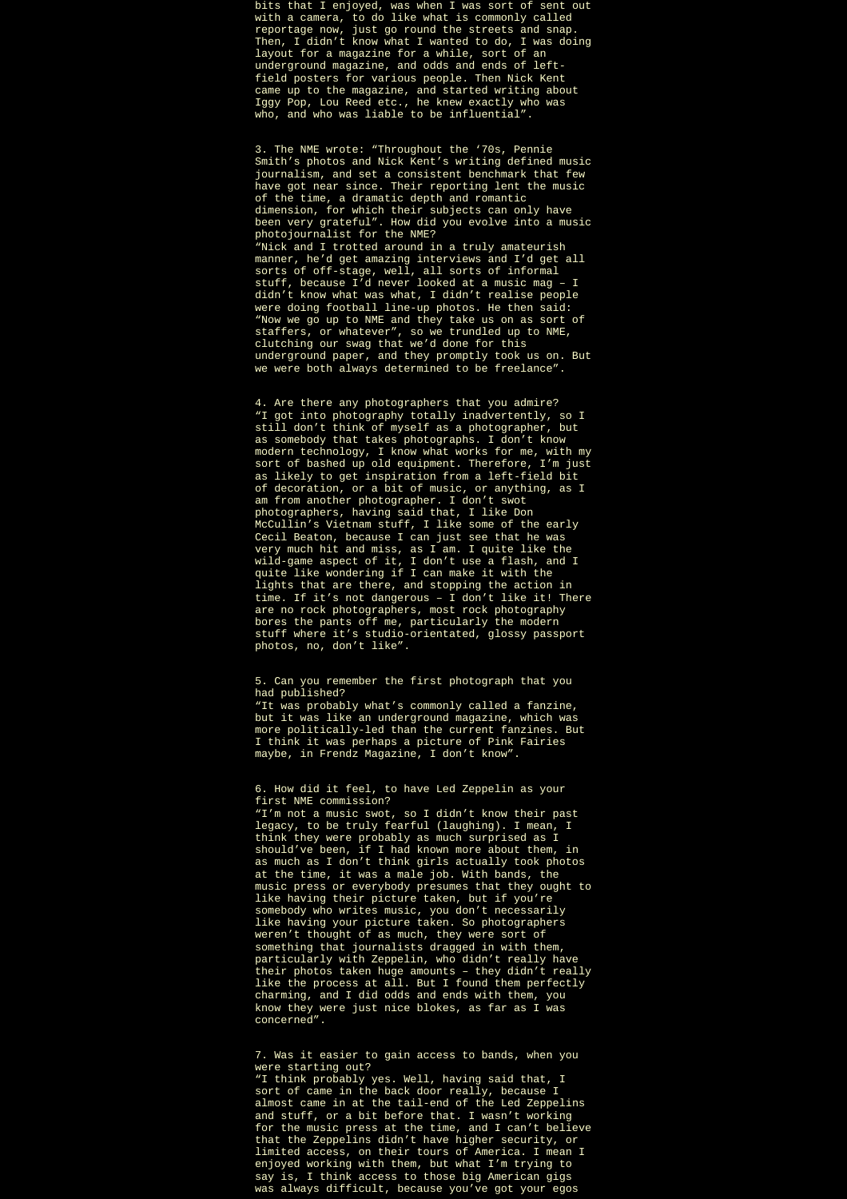bits that I enjoyed, was when I was sort of sent out with a camera, to do like what is commonly called reportage now, just go round the streets and snap. Then, I didn't know what I wanted to do, I was doing layout for a magazine for a while, sort of an underground magazine, and odds and ends of leftfield posters for various people. Then Nick Kent came up to the magazine, and started writing about Iggy Pop, Lou Reed etc., he knew exactly who was who, and who was liable to be influential".

3. The NME wrote: "Throughout the '70s, Pennie Smith's photos and Nick Kent's writing defined music journalism, and set a consistent benchmark that few have got near since. Their reporting lent the music of the time, a dramatic depth and romantic dimension, for which their subjects can only have been very grateful". How did you evolve into a music photojournalist for the NME? "Nick and I trotted around in a truly amateurish manner, he'd get amazing interviews and I'd get all sorts of off-stage, well, all sorts of informal stuff, because I'd never looked at a music mag – I didn't know what was what, I didn't realise people were doing football line-up photos. He then said: "Now we go up to NME and they take us on as sort of staffers, or whatever", so we trundled up to NME, clutching our swag that we'd done for this underground paper, and they promptly took us on. But we were both always determined to be freelance".

4. Are there any photographers that you admire? "I got into photography totally inadvertently, so I still don't think of myself as a photographer, but as somebody that takes photographs. I don't know modern technology, I know what works for me, with my sort of bashed up old equipment. Therefore, I'm just as likely to get inspiration from a left-field bit of decoration, or a bit of music, or anything, as I am from another photographer. I don't swot photographers, having said that, I like Don McCullin's Vietnam stuff, I like some of the early Cecil Beaton, because I can just see that he was very much hit and miss, as I am. I quite like the wild-game aspect of it, I don't use a flash, and I quite like wondering if I can make it with the lights that are there, and stopping the action in time. If it's not dangerous – I don't like it! There are no rock photographers, most rock photography bores the pants off me, particularly the modern stuff where it's studio-orientated, glossy passport photos, no, don't like".

5. Can you remember the first photograph that you had published?

"It was probably what's commonly called a fanzine, but it was like an underground magazine, which was more politically-led than the current fanzines. But I think it was perhaps a picture of Pink Fairies maybe, in Frendz Magazine, I don't know".

6. How did it feel, to have Led Zeppelin as your first NME commission?

"I'm not a music swot, so I didn't know their past legacy, to be truly fearful (laughing). I mean, I think they were probably as much surprised as I should've been, if I had known more about them, in as much as I don't think girls actually took photos at the time, it was a male job. With bands, the music press or everybody presumes that they ought to like having their picture taken, but if you're somebody who writes music, you don't necessarily like having your picture taken. So photographers weren't thought of as much, they were sort of something that journalists dragged in with them, particularly with Zeppelin, who didn't really have their photos taken huge amounts – they didn't really like the process at all. But I found them perfectly charming, and I did odds and ends with them, you know they were just nice blokes, as far as I was concerned".

7. Was it easier to gain access to bands, when you were starting out?

"I think probably yes. Well, having said that, I sort of came in the back door really, because I almost came in at the tail-end of the Led Zeppelins and stuff, or a bit before that. I wasn't working for the music press at the time, and I can't believe that the Zeppelins didn't have higher security, or limited access, on their tours of America. I mean I enjoyed working with them, but what I'm trying to say is, I think access to those big American gigs was always difficult, because you've got your egos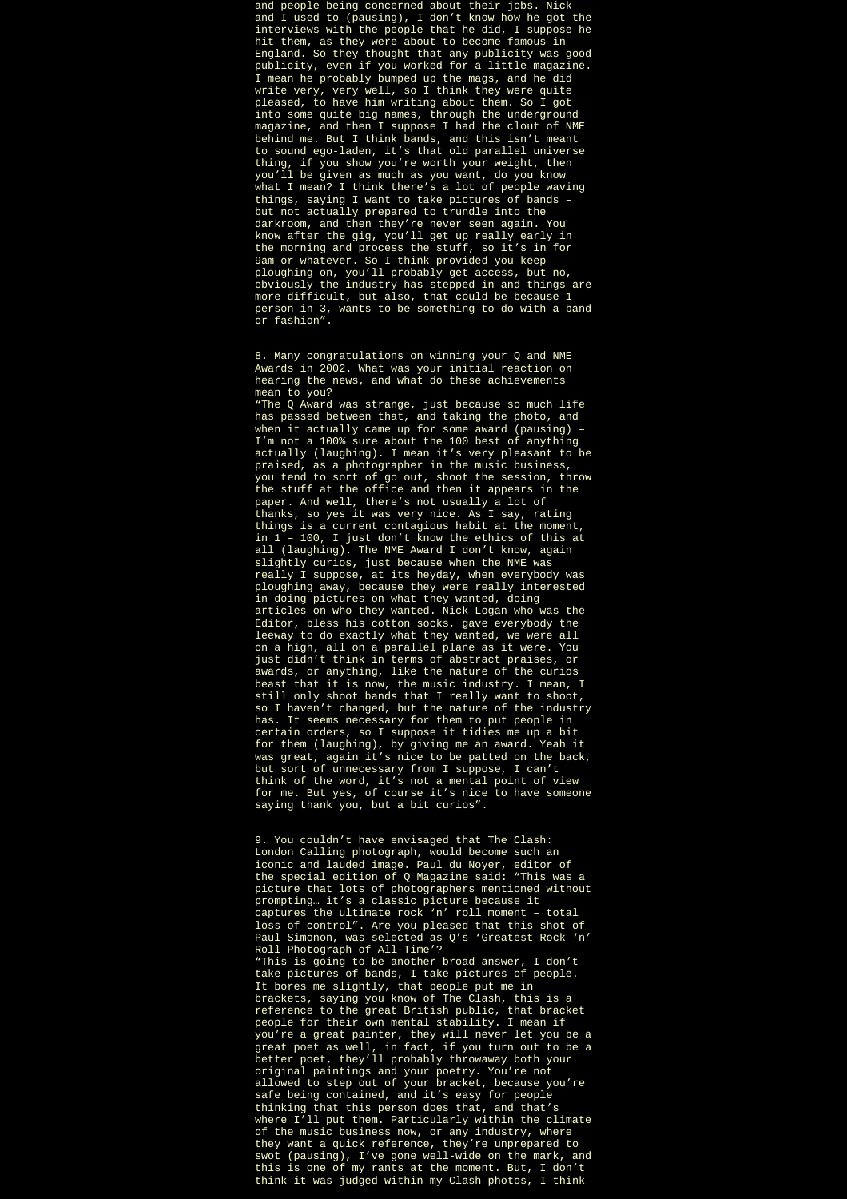and people being concerned about their jobs. Nick and I used to (pausing), I don't know how he got the interviews with the people that he did, I suppose he hit them, as they were about to become famous in England. So they thought that any publicity was good publicity, even if you worked for a little magazine. I mean he probably bumped up the mags, and he did write very, very well, so I think they were quite pleased, to have him writing about them. So I got into some quite big names, through the underground magazine, and then I suppose I had the clout of NME behind me. But I think bands, and this isn't meant to sound ego-laden, it's that old parallel universe thing, if you show you're worth your weight, then you'll be given as much as you want, do you know what I mean? I think there's a lot of people waving things, saying I want to take pictures of bands – but not actually prepared to trundle into the darkroom, and then they're never seen again. You know after the gig, you'll get up really early in the morning and process the stuff, so it's in for 9am or whatever. So I think provided you keep ploughing on, you'll probably get access, but no, obviously the industry has stepped in and things are more difficult, but also, that could be because 1 person in 3, wants to be something to do with a band or fashion".

8. Many congratulations on winning your Q and NME Awards in 2002. What was your initial reaction on hearing the news, and what do these achievements mean to you?

"The Q Award was strange, just because so much life has passed between that, and taking the photo, and when it actually came up for some award (pausing) – I'm not a 100% sure about the 100 best of anything actually (laughing). I mean it's very pleasant to be praised, as a photographer in the music business, you tend to sort of go out, shoot the session, throw the stuff at the office and then it appears in the paper. And well, there's not usually a lot of thanks, so yes it was very nice. As I say, rating things is a current contagious habit at the moment, in 1 – 100, I just don't know the ethics of this at all (laughing). The NME Award I don't know, again slightly curios, just because when the NME was really I suppose, at its heyday, when everybody was ploughing away, because they were really interested in doing pictures on what they wanted, doing articles on who they wanted. Nick Logan who was the Editor, bless his cotton socks, gave everybody the leeway to do exactly what they wanted, we were all on a high, all on a parallel plane as it were. You just didn't think in terms of abstract praises, or awards, or anything, like the nature of the curios beast that it is now, the music industry. I mean, I still only shoot bands that I really want to shoot, so I haven't changed, but the nature of the industry has. It seems necessary for them to put people in certain orders, so I suppose it tidies me up a bit for them (laughing), by giving me an award. Yeah it was great, again it's nice to be patted on the back, but sort of unnecessary from I suppose, I can't think of the word, it's not a mental point of view for me. But yes, of course it's nice to have someone saying thank you, but a bit curios".

9. You couldn't have envisaged that The Clash: London Calling photograph, would become such an iconic and lauded image. Paul du Noyer, editor of the special edition of Q Magazine said: "This was a picture that lots of photographers mentioned without prompting… it's a classic picture because it captures the ultimate rock 'n' roll moment – total loss of control". Are you pleased that this shot of Paul Simonon, was selected as Q's 'Greatest Rock 'n' Roll Photograph of All-Time'? "This is going to be another broad answer, I don't take pictures of bands, I take pictures of people. It bores me slightly, that people put me in brackets, saying you know of The Clash, this is a reference to the great British public, that bracket people for their own mental stability. I mean if you're a great painter, they will never let you be a great poet as well, in fact, if you turn out to be a better poet, they'll probably throwaway both your original paintings and your poetry. You're not allowed to step out of your bracket, because you're safe being contained, and it's easy for people thinking that this person does that, and that's where I'll put them. Particularly within the climate of the music business now, or any industry, where they want a quick reference, they're unprepared to swot (pausing), I've gone well-wide on the mark, and this is one of my rants at the moment. But, I don't think it was judged within my Clash photos, I think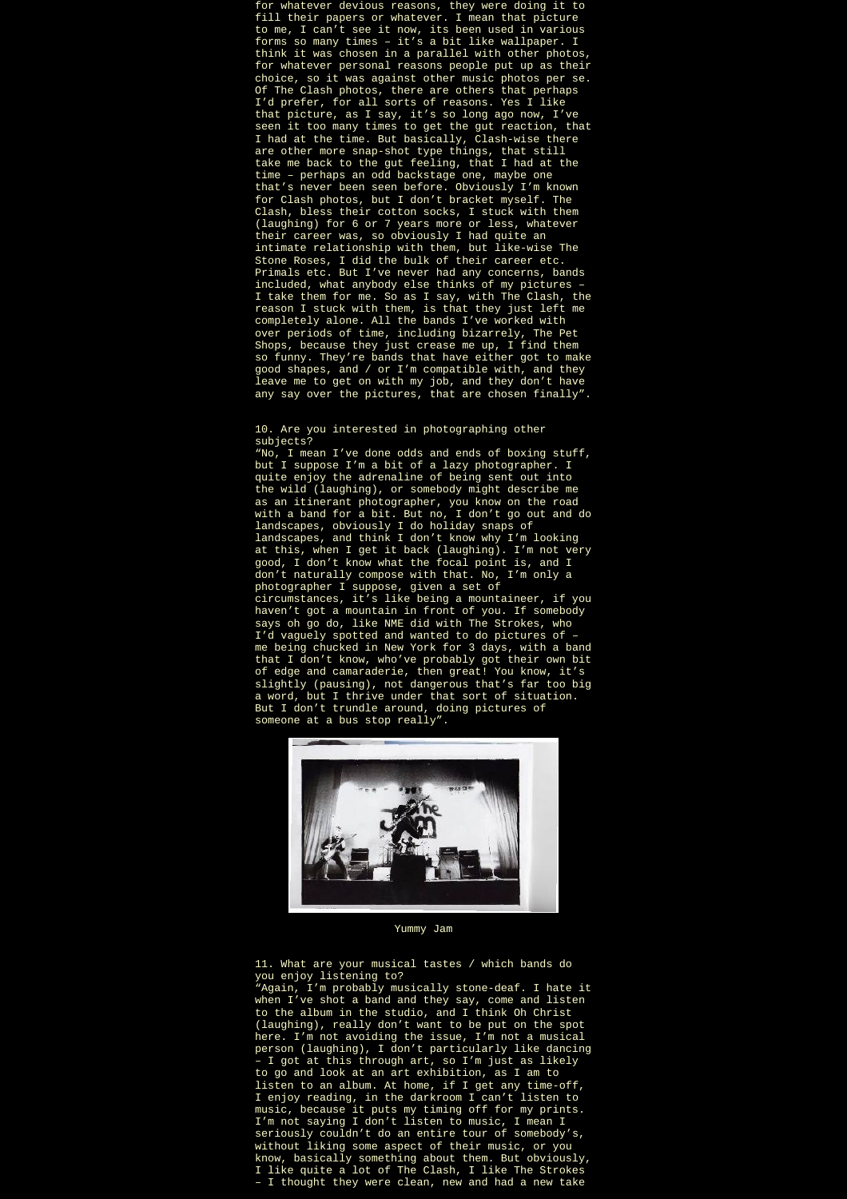for whatever devious reasons, they were doing it to fill their papers or whatever. I mean that picture to me, I can't see it now, its been used in various forms so many times – it's a bit like wallpaper. I think it was chosen in a parallel with other photos, for whatever personal reasons people put up as their choice, so it was against other music photos per se. Of The Clash photos, there are others that perhaps I'd prefer, for all sorts of reasons. Yes I like that picture, as I say, it's so long ago now, I've seen it too many times to get the gut reaction, that I had at the time. But basically, Clash-wise there are other more snap-shot type things, that still take me back to the gut feeling, that I had at the time – perhaps an odd backstage one, maybe one that's never been seen before. Obviously I'm known for Clash photos, but I don't bracket myself. The Clash, bless their cotton socks, I stuck with them (laughing) for 6 or 7 years more or less, whatever their career was, so obviously I had quite an intimate relationship with them, but like-wise The Stone Roses, I did the bulk of their career etc. Primals etc. But I've never had any concerns, bands included, what anybody else thinks of my pictures – I take them for me. So as I say, with The Clash, the reason I stuck with them, is that they just left me completely alone. All the bands I've worked with over periods of time, including bizarrely, The Pet Shops, because they just crease me up, I find them so funny. They're bands that have either got to make good shapes, and / or I'm compatible with, and they leave me to get on with my job, and they don't have any say over the pictures, that are chosen finally".

10. Are you interested in photographing other subjects?

"No, I mean I've done odds and ends of boxing stuff, but I suppose I'm a bit of a lazy photographer. I quite enjoy the adrenaline of being sent out into the wild (laughing), or somebody might describe me as an itinerant photographer, you know on the road with a band for a bit. But no, I don't go out and do landscapes, obviously I do holiday snaps of landscapes, and think I don't know why I'm looking at this, when I get it back (laughing). I'm not very good, I don't know what the focal point is, and I don't naturally compose with that. No, I'm only a photographer I suppose, given a set of circumstances, it's like being a mountaineer, if you haven't got a mountain in front of you. If somebody says oh go do, like NME did with The Strokes, who I'd vaguely spotted and wanted to do pictures of – me being chucked in New York for 3 days, with a band that I don't know, who've probably got their own bit of edge and camaraderie, then great! You know, it's slightly (pausing), not dangerous that's far too big a word, but I thrive under that sort of situation. But I don't trundle around, doing pictures of someone at a bus stop really".



Yummy Jam

11. What are your musical tastes / which bands do you enjoy listening to?

"Again, I'm probably musically stone-deaf. I hate it when I've shot a band and they say, come and listen to the album in the studio, and I think Oh Christ (laughing), really don't want to be put on the spot here. I'm not avoiding the issue, I'm not a musical person (laughing), I don't particularly like dancing – I got at this through art, so I'm just as likely to go and look at an art exhibition, as I am to listen to an album. At home, if I get any time-off, I enjoy reading, in the darkroom I can't listen to music, because it puts my timing off for my prints. I'm not saying I don't listen to music, I mean I seriously couldn't do an entire tour of somebody's, without liking some aspect of their music, or you know, basically something about them. But obviously, I like quite a lot of The Clash, I like The Strokes – I thought they were clean, new and had a new take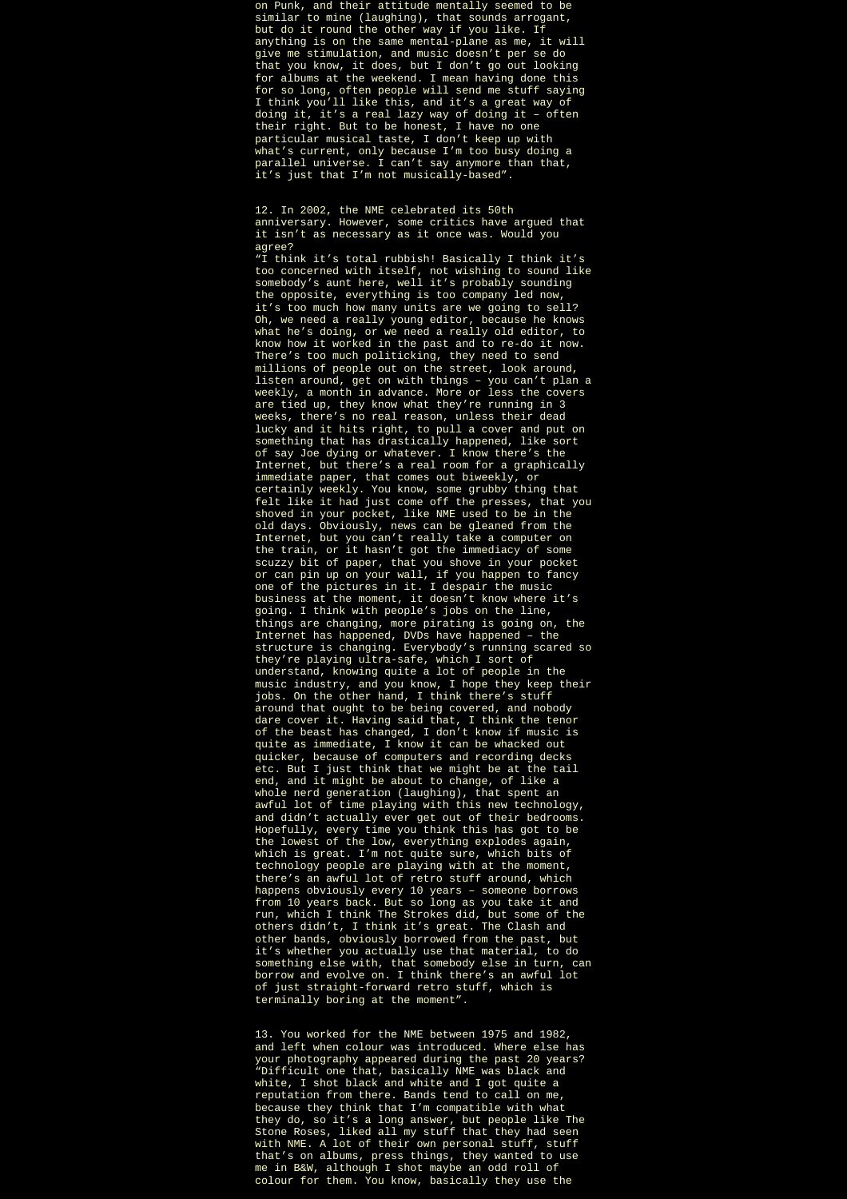on Punk, and their attitude mentally seemed to be similar to mine (laughing), that sounds arrogant, but do it round the other way if you like. If anything is on the same mental-plane as me, it will give me stimulation, and music doesn't per se do that you know, it does, but I don't go out looking for albums at the weekend. I mean having done this for so long, often people will send me stuff saying I think you'll like this, and it's a great way of doing it, it's a real lazy way of doing it – often their right. But to be honest, I have no one particular musical taste, I don't keep up with what's current, only because I'm too busy doing a parallel universe. I can't say anymore than that, it's just that I'm not musically-based".

12. In 2002, the NME celebrated its 50th anniversary. However, some critics have argued that it isn't as necessary as it once was. Would you agree?

"I think it's total rubbish! Basically I think it's too concerned with itself, not wishing to sound like somebody's aunt here, well it's probably sounding the opposite, everything is too company led now, it's too much how many units are we going to sell? Oh, we need a really young editor, because he knows what he's doing, or we need a really old editor, to know how it worked in the past and to re-do it now. There's too much politicking, they need to send millions of people out on the street, look around, listen around, get on with things – you can't plan a weekly, a month in advance. More or less the covers are tied up, they know what they're running in 3 weeks, there's no real reason, unless their dead lucky and it hits right, to pull a cover and put on something that has drastically happened, like sort of say Joe dying or whatever. I know there's the Internet, but there's a real room for a graphically immediate paper, that comes out biweekly, or certainly weekly. You know, some grubby thing that felt like it had just come off the presses, that you shoved in your pocket, like NME used to be in the old days. Obviously, news can be gleaned from the Internet, but you can't really take a computer on the train, or it hasn't got the immediacy of some scuzzy bit of paper, that you shove in your pocket or can pin up on your wall, if you happen to fancy one of the pictures in it. I despair the music business at the moment, it doesn't know where it's going. I think with people's jobs on the line, things are changing, more pirating is going on, the Internet has happened, DVDs have happened – the structure is changing. Everybody's running scared so they're playing ultra-safe, which I sort of understand, knowing quite a lot of people in the music industry, and you know, I hope they keep their jobs. On the other hand, I think there's stuff around that ought to be being covered, and nobody dare cover it. Having said that, I think the tenor of the beast has changed, I don't know if music is quite as immediate, I know it can be whacked out quicker, because of computers and recording decks etc. But I just think that we might be at the tail end, and it might be about to change, of like a whole nerd generation (laughing), that spent an awful lot of time playing with this new technology, and didn't actually ever get out of their bedrooms. Hopefully, every time you think this has got to be the lowest of the low, everything explodes again, which is great. I'm not quite sure, which bits of technology people are playing with at the moment, there's an awful lot of retro stuff around, which happens obviously every 10 years – someone borrows from 10 years back. But so long as you take it and run, which I think The Strokes did, but some of the others didn't, I think it's great. The Clash and other bands, obviously borrowed from the past, but it's whether you actually use that material, to do something else with, that somebody else in turn, can borrow and evolve on. I think there's an awful lot of just straight-forward retro stuff, which is terminally boring at the moment".

13. You worked for the NME between 1975 and 1982, and left when colour was introduced. Where else has your photography appeared during the past 20 years? "Difficult one that, basically NME was black and white, I shot black and white and I got quite a reputation from there. Bands tend to call on me, because they think that I'm compatible with what they do, so it's a long answer, but people like The Stone Roses, liked all my stuff that they had seen with NME. A lot of their own personal stuff, stuff that's on albums, press things, they wanted to use me in B&W, although I shot maybe an odd roll of colour for them. You know, basically they use the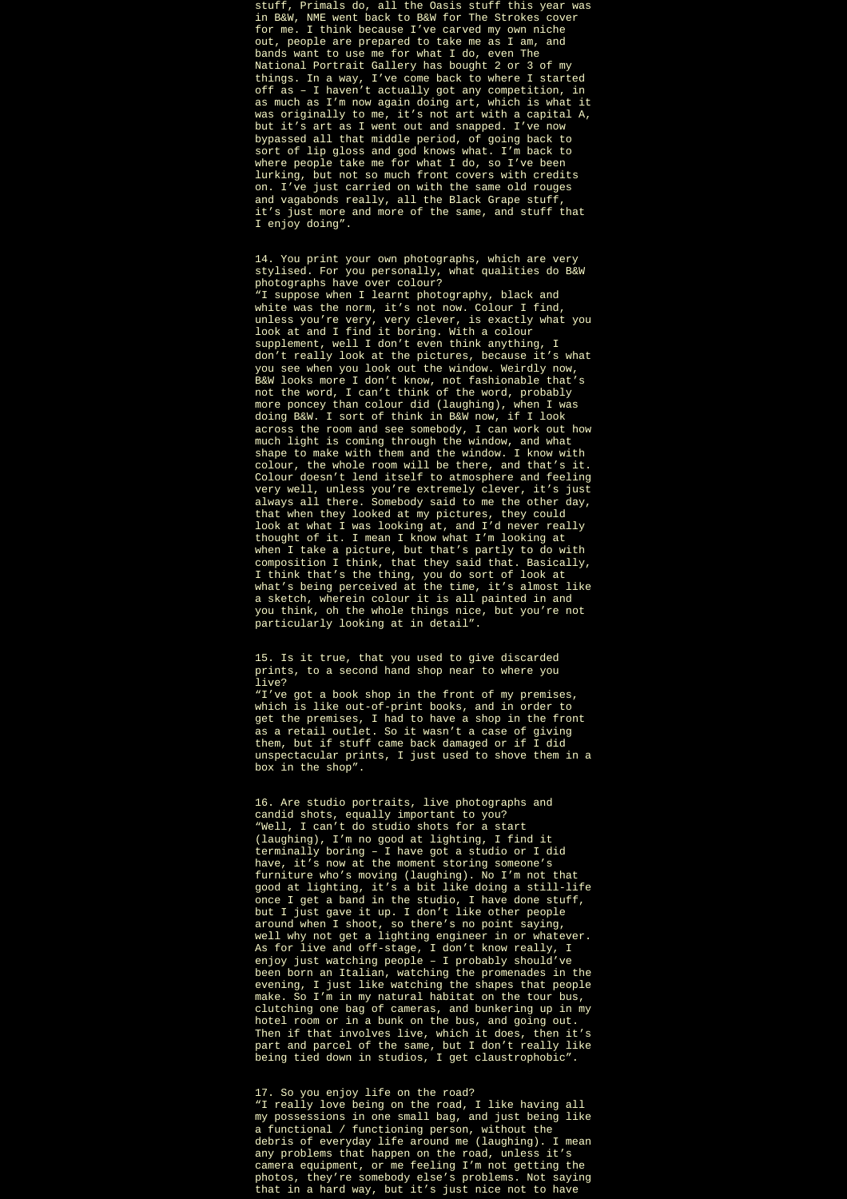stuff, Primals do, all the Oasis stuff this year was in B&W, NME went back to B&W for The Strokes cover for me. I think because I've carved my own niche out, people are prepared to take me as I am, and bands want to use me for what I do, even The National Portrait Gallery has bought 2 or 3 of my things. In a way, I've come back to where I started off as – I haven't actually got any competition, in as much as I'm now again doing art, which is what it was originally to me, it's not art with a capital A, but it's art as I went out and snapped. I've now bypassed all that middle period, of going back to sort of lip gloss and god knows what. I'm back to where people take me for what I do, so I've been lurking, but not so much front covers with credits on. I've just carried on with the same old rouges and vagabonds really, all the Black Grape stuff, it's just more and more of the same, and stuff that I enjoy doing".

14. You print your own photographs, which are very stylised. For you personally, what qualities do B&W photographs have over colour? "I suppose when I learnt photography, black and white was the norm, it's not now. Colour I find, unless you're very, very clever, is exactly what you look at and I find it boring. With a colour supplement, well I don't even think anything, I don't really look at the pictures, because it's what you see when you look out the window. Weirdly now, B&W looks more I don't know, not fashionable that's not the word, I can't think of the word, probably more poncey than colour did (laughing), when I was doing B&W. I sort of think in B&W now, if I look across the room and see somebody, I can work out how much light is coming through the window, and what shape to make with them and the window. I know with colour, the whole room will be there, and that's it. Colour doesn't lend itself to atmosphere and feeling very well, unless you're extremely clever, it's just always all there. Somebody said to me the other day, that when they looked at my pictures, they could look at what I was looking at, and I'd never really thought of it. I mean I know what I'm looking at when I take a picture, but that's partly to do with composition I think, that they said that. Basically, I think that's the thing, you do sort of look at

what's being perceived at the time, it's almost like a sketch, wherein colour it is all painted in and you think, oh the whole things nice, but you're not particularly looking at in detail".

15. Is it true, that you used to give discarded prints, to a second hand shop near to where you live?

"I've got a book shop in the front of my premises, which is like out-of-print books, and in order to get the premises, I had to have a shop in the front as a retail outlet. So it wasn't a case of giving them, but if stuff came back damaged or if I did unspectacular prints, I just used to shove them in a box in the shop".

16. Are studio portraits, live photographs and candid shots, equally important to you? "Well, I can't do studio shots for a start (laughing), I'm no good at lighting, I find it terminally boring – I have got a studio or I did have, it's now at the moment storing someone's furniture who's moving (laughing). No I'm not that good at lighting, it's a bit like doing a still-life once I get a band in the studio, I have done stuff, but I just gave it up. I don't like other people around when I shoot, so there's no point saying, well why not get a lighting engineer in or whatever. As for live and off-stage, I don't know really, I enjoy just watching people – I probably should've been born an Italian, watching the promenades in the evening, I just like watching the shapes that people make. So I'm in my natural habitat on the tour bus, clutching one bag of cameras, and bunkering up in my hotel room or in a bunk on the bus, and going out. Then if that involves live, which it does, then it's part and parcel of the same, but I don't really like being tied down in studios, I get claustrophobic".

## 17. So you enjoy life on the road? "I really love being on the road, I like having all my possessions in one small bag, and just being like a functional / functioning person, without the debris of everyday life around me (laughing). I mean any problems that happen on the road, unless it's camera equipment, or me feeling I'm not getting the photos, they're somebody else's problems. Not saying that in a hard way, but it's just nice not to have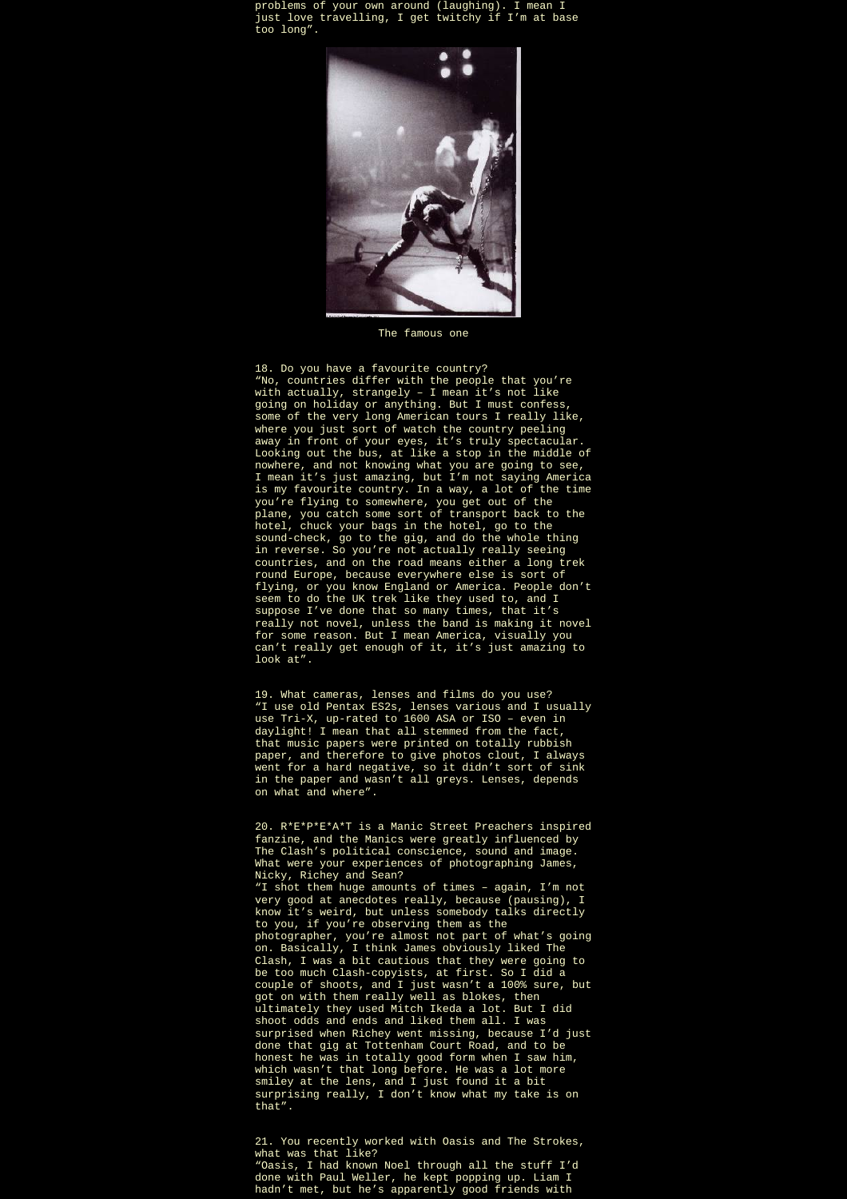problems of your own around (laughing). I mean I just love travelling, I get twitchy if I'm at base too long".



The famous one

18. Do you have a favourite country? "No, countries differ with the people that you're with actually, strangely – I mean it's not like going on holiday or anything. But I must confess, some of the very long American tours I really like, where you just sort of watch the country peeling away in front of your eyes, it's truly spectacular. Looking out the bus, at like a stop in the middle of nowhere, and not knowing what you are going to see, I mean it's just amazing, but I'm not saying America is my favourite country. In a way, a lot of the time you're flying to somewhere, you get out of the plane, you catch some sort of transport back to the hotel, chuck your bags in the hotel, go to the sound-check, go to the gig, and do the whole thing in reverse. So you're not actually really seeing countries, and on the road means either a long trek round Europe, because everywhere else is sort of flying, or you know England or America. People don't seem to do the UK trek like they used to, and I suppose I've done that so many times, that it's really not novel, unless the band is making it novel for some reason. But I mean America, visually you can't really get enough of it, it's just amazing to look at".

19. What cameras, lenses and films do you use? "I use old Pentax ES2s, lenses various and I usually use Tri-X, up-rated to 1600 ASA or ISO – even in daylight! I mean that all stemmed from the fact, that music papers were printed on totally rubbish paper, and therefore to give photos clout, I always went for a hard negative, so it didn't sort of sink in the paper and wasn't all greys. Lenses, depends on what and where".

20. R\*E\*P\*E\*A\*T is a Manic Street Preachers inspired fanzine, and the Manics were greatly influenced by The Clash's political conscience, sound and image. What were your experiences of photographing James, Nicky, Richey and Sean? "I shot them huge amounts of times – again, I'm not very good at anecdotes really, because (pausing), I know it's weird, but unless somebody talks directly to you, if you're observing them as the photographer, you're almost not part of what's going on. Basically, I think James obviously liked The Clash, I was a bit cautious that they were going to be too much Clash-copyists, at first. So I did a couple of shoots, and I just wasn't a 100% sure, but got on with them really well as blokes, then ultimately they used Mitch Ikeda a lot. But I did shoot odds and ends and liked them all. I was surprised when Richey went missing, because I'd just done that gig at Tottenham Court Road, and to be honest he was in totally good form when I saw him, which wasn't that long before. He was a lot more smiley at the lens, and I just found it a bit surprising really, I don't know what my take is on that".

21. You recently worked with Oasis and The Strokes, what was that like? "Oasis, I had known Noel through all the stuff I'd done with Paul Weller, he kept popping up. Liam I hadn't met, but he's apparently good friends with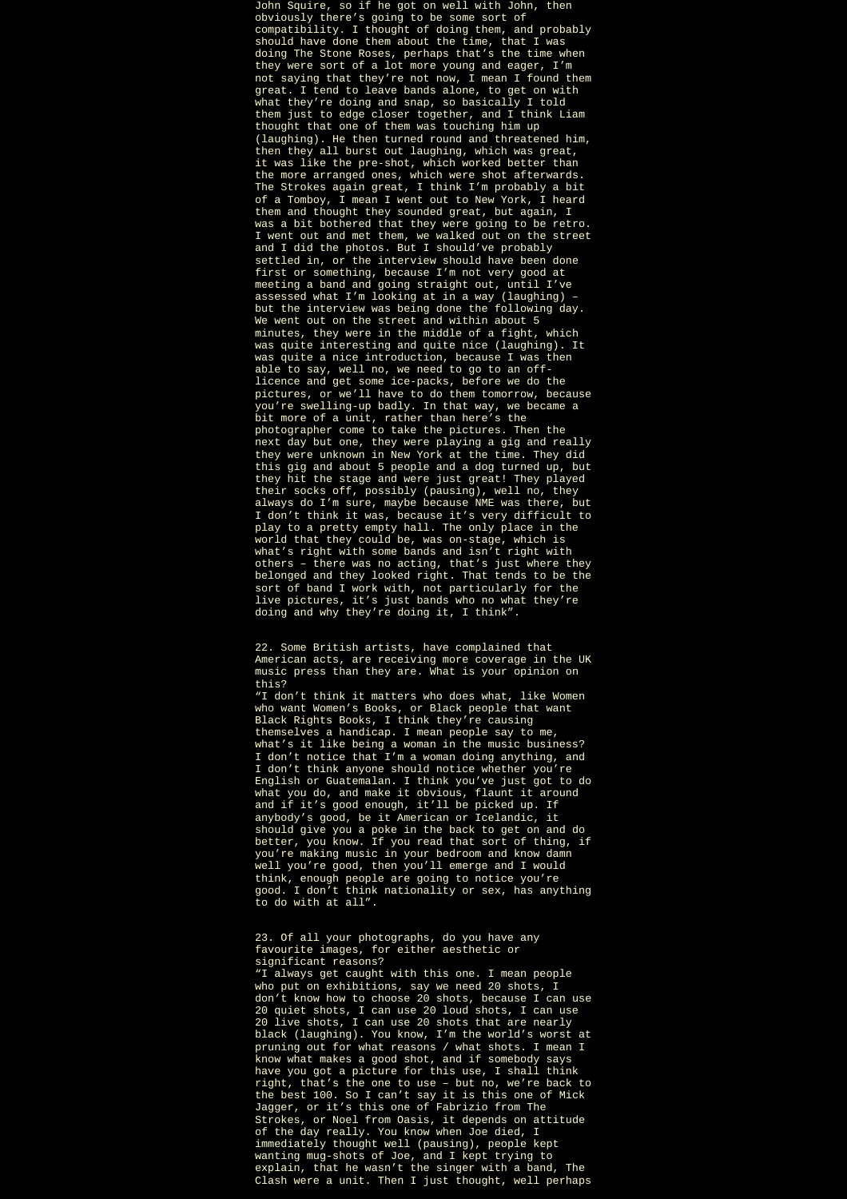John Squire, so if he got on well with John, then obviously there's going to be some sort of compatibility. I thought of doing them, and probably should have done them about the time, that I was doing The Stone Roses, perhaps that's the time when they were sort of a lot more young and eager, I'm not saying that they're not now, I mean I found them great. I tend to leave bands alone, to get on with what they're doing and snap, so basically I told them just to edge closer together, and I think Liam thought that one of them was touching him up (laughing). He then turned round and threatened him, then they all burst out laughing, which was great, it was like the pre-shot, which worked better than the more arranged ones, which were shot afterwards. The Strokes again great, I think I'm probably a bit of a Tomboy, I mean I went out to New York, I heard them and thought they sounded great, but again, I was a bit bothered that they were going to be retro. I went out and met them, we walked out on the street and I did the photos. But I should've probably settled in, or the interview should have been done first or something, because I'm not very good at meeting a band and going straight out, until I've assessed what I'm looking at in a way (laughing) – but the interview was being done the following day. We went out on the street and within about 5 minutes, they were in the middle of a fight, which was quite interesting and quite nice (laughing). It was quite a nice introduction, because I was then able to say, well no, we need to go to an offlicence and get some ice-packs, before we do the pictures, or we'll have to do them tomorrow, because you're swelling-up badly. In that way, we became a bit more of a unit, rather than here's the photographer come to take the pictures. Then the next day but one, they were playing a gig and really they were unknown in New York at the time. They did this gig and about 5 people and a dog turned up, but they hit the stage and were just great! They played their socks off, possibly (pausing), well no, they always do I'm sure, maybe because NME was there, but I don't think it was, because it's very difficult to play to a pretty empty hall. The only place in the world that they could be, was on-stage, which is what's right with some bands and isn't right with others – there was no acting, that's just where they belonged and they looked right. That tends to be the sort of band I work with, not particularly for the live pictures, it's just bands who no what they're doing and why they're doing it, I think".

"I don't think it matters who does what, like Women who want Women's Books, or Black people that want Black Rights Books, I think they're causing themselves a handicap. I mean people say to me, what's it like being a woman in the music business? I don't notice that I'm a woman doing anything, and I don't think anyone should notice whether you're English or Guatemalan. I think you've just got to do what you do, and make it obvious, flaunt it around and if it's good enough, it'll be picked up. If anybody's good, be it American or Icelandic, it should give you a poke in the back to get on and do better, you know. If you read that sort of thing, if you're making music in your bedroom and know damn well you're good, then you'll emerge and I would think, enough people are going to notice you're good. I don't think nationality or sex, has anything to do with at all".

23. Of all your photographs, do you have any favourite images, for either aesthetic or significant reasons?

"I always get caught with this one. I mean people who put on exhibitions, say we need 20 shots, I don't know how to choose 20 shots, because I can use 20 quiet shots, I can use 20 loud shots, I can use 20 live shots, I can use 20 shots that are nearly black (laughing). You know, I'm the world's worst at pruning out for what reasons / what shots. I mean I know what makes a good shot, and if somebody says have you got a picture for this use, I shall think right, that's the one to use – but no, we're back to the best 100. So I can't say it is this one of Mick Jagger, or it's this one of Fabrizio from The Strokes, or Noel from Oasis, it depends on attitude of the day really. You know when Joe died, I immediately thought well (pausing), people kept wanting mug-shots of Joe, and I kept trying to explain, that he wasn't the singer with a band, The Clash were a unit. Then I just thought, well perhaps

<sup>22.</sup> Some British artists, have complained that American acts, are receiving more coverage in the UK music press than they are. What is your opinion on this?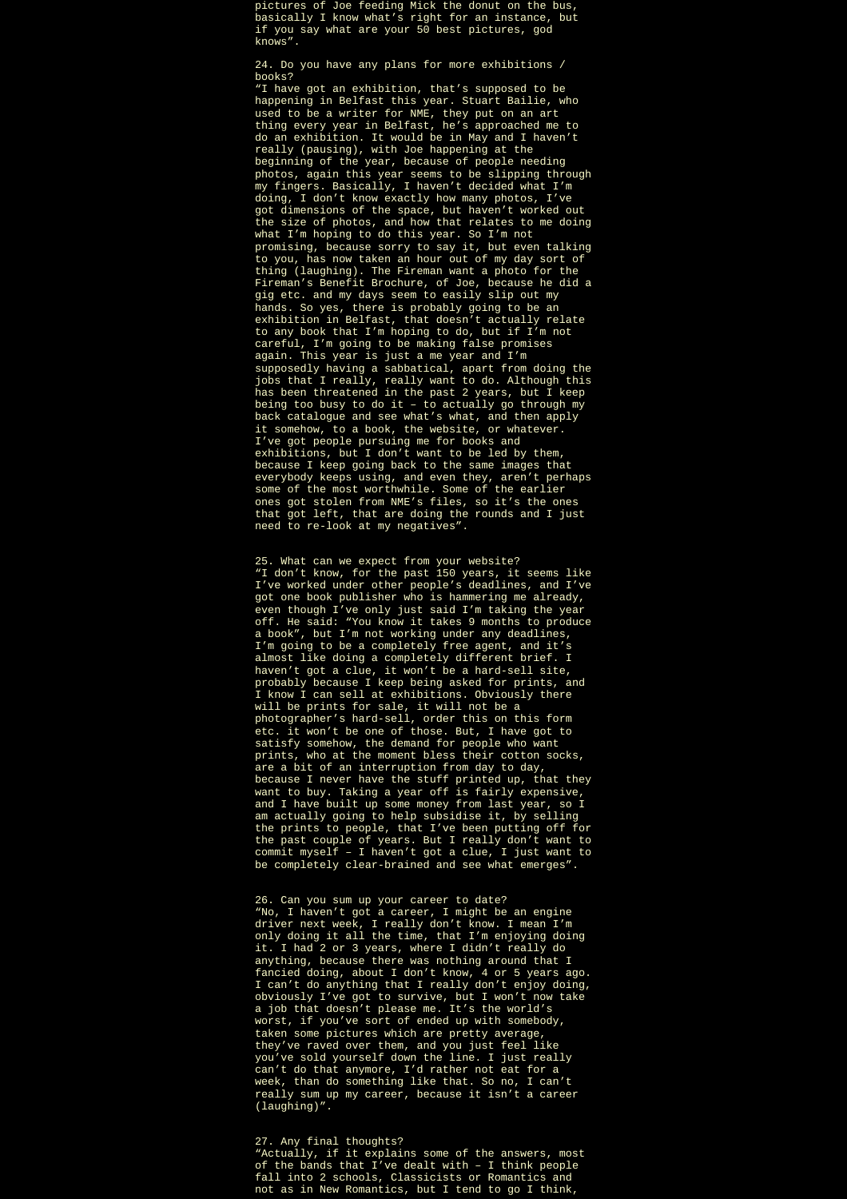pictures of Joe feeding Mick the donut on the bus, basically I know what's right for an instance, but if you say what are your 50 best pictures, god knows".

24. Do you have any plans for more exhibitions /<br>hooks? books?

"I have got an exhibition, that's supposed to be happening in Belfast this year. Stuart Bailie, who used to be a writer for NME, they put on an art thing every year in Belfast, he's approached me to do an exhibition. It would be in May and I haven't really (pausing), with Joe happening at the beginning of the year, because of people needing photos, again this year seems to be slipping through my fingers. Basically, I haven't decided what I'm doing, I don't know exactly how many photos, I've got dimensions of the space, but haven't worked out the size of photos, and how that relates to me doing what I'm hoping to do this year. So I'm not promising, because sorry to say it, but even talking to you, has now taken an hour out of my day sort of thing (laughing). The Fireman want a photo for the Fireman's Benefit Brochure, of Joe, because he did a gig etc. and my days seem to easily slip out my hands. So yes, there is probably going to be an exhibition in Belfast, that doesn't actually relate to any book that I'm hoping to do, but if I'm not careful, I'm going to be making false promises again. This year is just a me year and I'm supposedly having a sabbatical, apart from doing the jobs that I really, really want to do. Although this has been threatened in the past 2 years, but I keep being too busy to do it – to actually go through my back catalogue and see what's what, and then apply it somehow, to a book, the website, or whatever. I've got people pursuing me for books and exhibitions, but I don't want to be led by them, because I keep going back to the same images that everybody keeps using, and even they, aren't perhaps some of the most worthwhile. Some of the earlier ones got stolen from NME's files, so it's the ones that got left, that are doing the rounds and I just need to re-look at my negatives".

25. What can we expect from your website? "I don't know, for the past 150 years, it seems like I've worked under other people's deadlines, and I've got one book publisher who is hammering me already, even though I've only just said I'm taking the year off. He said: "You know it takes 9 months to produce a book", but I'm not working under any deadlines, I'm going to be a completely free agent, and it's almost like doing a completely different brief. I haven't got a clue, it won't be a hard-sell site, probably because I keep being asked for prints, and I know I can sell at exhibitions. Obviously there will be prints for sale, it will not be a photographer's hard-sell, order this on this form etc. it won't be one of those. But, I have got to satisfy somehow, the demand for people who want prints, who at the moment bless their cotton socks, are a bit of an interruption from day to day, because I never have the stuff printed up, that they want to buy. Taking a year off is fairly expensive, and I have built up some money from last year, so I am actually going to help subsidise it, by selling the prints to people, that I've been putting off for the past couple of years. But I really don't want to commit myself – I haven't got a clue, I just want to be completely clear-brained and see what emerges".

26. Can you sum up your career to date? "No, I haven't got a career, I might be an engine driver next week, I really don't know. I mean I'm only doing it all the time, that I'm enjoying doing it. I had 2 or 3 years, where I didn't really do anything, because there was nothing around that I fancied doing, about I don't know, 4 or 5 years ago. I can't do anything that I really don't enjoy doing, obviously I've got to survive, but I won't now take a job that doesn't please me. It's the world's worst, if you've sort of ended up with somebody, taken some pictures which are pretty average, they've raved over them, and you just feel like you've sold yourself down the line. I just really can't do that anymore, I'd rather not eat for a week, than do something like that. So no, I can't really sum up my career, because it isn't a career (laughing)".

## 27. Any final thoughts?

"Actually, if it explains some of the answers, most of the bands that I've dealt with – I think people fall into 2 schools, Classicists or Romantics and not as in New Romantics, but I tend to go I think,